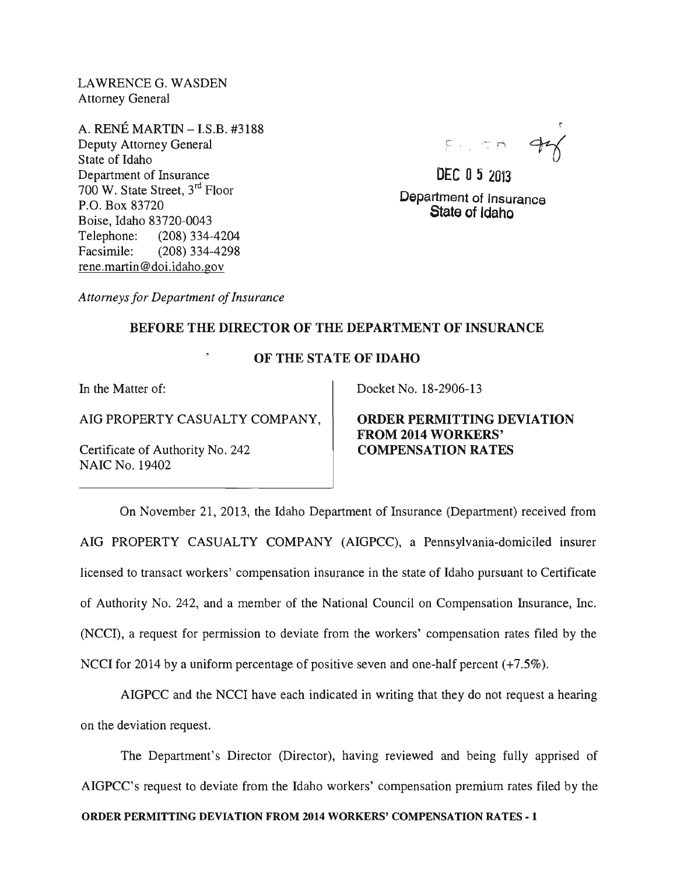LAWRENCE G. WASDEN Attorney General

A. RENE MARTIN -I.S.B. #3188 Deputy Attorney General State of Idaho Department of Insurance 700 W. State Street, 3rd Floor P.O. Box 83720 Boise, Idaho 83720-0043 Telephone: (208) 334-4204 Facsimile: (208) 334-4298 rene.martin@doi.idaho.gov

 $F_{\perp}$  .  $\sim$   $\sim$   $\sim$ 

DEC 0 5 2013 Department of Insurance State of Idaho

*Attorneys for Department of Insurance* 

## BEFORE THE DIRECTOR OF THE DEPARTMENT OF INSURANCE

## OF THE STATE OF IDAHO

In the Matter of:

AIG PROPERTY CASUALTY COMPANY,

Certificate of Authority No. 242 NAIC No. 19402

Docket No. 18-2906-13

ORDER PERMITTING DEVIATION FROM 2014 WORKERS' COMPENSATION RATES

On November 21, 2013, the Idaho Department of Insurance (Department) received from AIG PROPERTY CASUALTY COMPANY (AIGPCC), a Pennsylvania-domiciled insurer licensed to transact workers' compensation insurance in the state of Idaho pursuant to Certificate of Authority No. 242, and a member of the National Council on Compensation Insurance, Inc. (NCCI), a request for permission to deviate from the workers' compensation rates filed by the NCCI for 2014 by a uniform percentage of positive seven and one-half percent (+7.5%).

AIGPCC and the NCCI have each indicated in writing that they do not request a hearing on the deviation request.

The Department's Director (Director), having reviewed and being fully apprised of AIGPCC's request to deviate from the Idaho workers' compensation premium rates filed by the

ORDER PERMITTING DEVIATION FROM 2014 WORKERS' COMPENSATION RATES - 1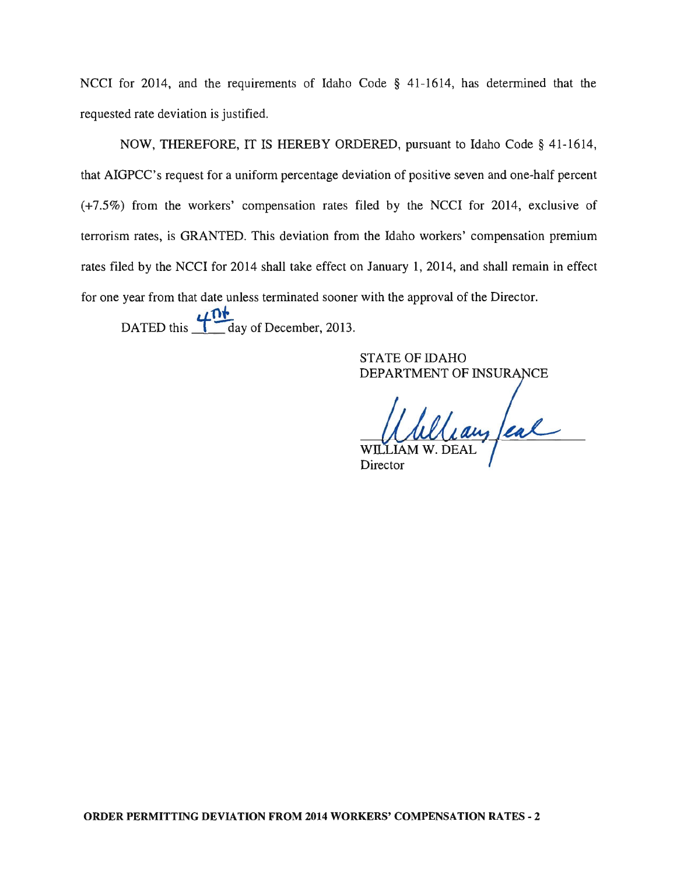NCCI for 2014, and the requirements of Idaho Code § 41-1614, has determined that the requested rate deviation is justified.

NOW, THEREFORE, IT IS HEREBY ORDERED, pursuant to Idaho Code § 41-1614, that AIGPCC's request for a uniform percentage deviation of positive seven and one-half percent (+7.5%) from the workers' compensation rates filed by the NCCI for 2014, exclusive of terrorism rates, is GRANTED. This deviation from the Idaho workers' compensation premium rates filed by the NCCI for 2014 shall take effect on January 1, 2014, and shall remain in effect for one year from that date unless terminated sooner with the approval of the Director.  $L$ <sup>1</sup>

 $\sum_{\text{day of December 2013}}$ 

STATE OF IDAHO DEPARTMENT OF INSURANCE

Wlay feal

Director